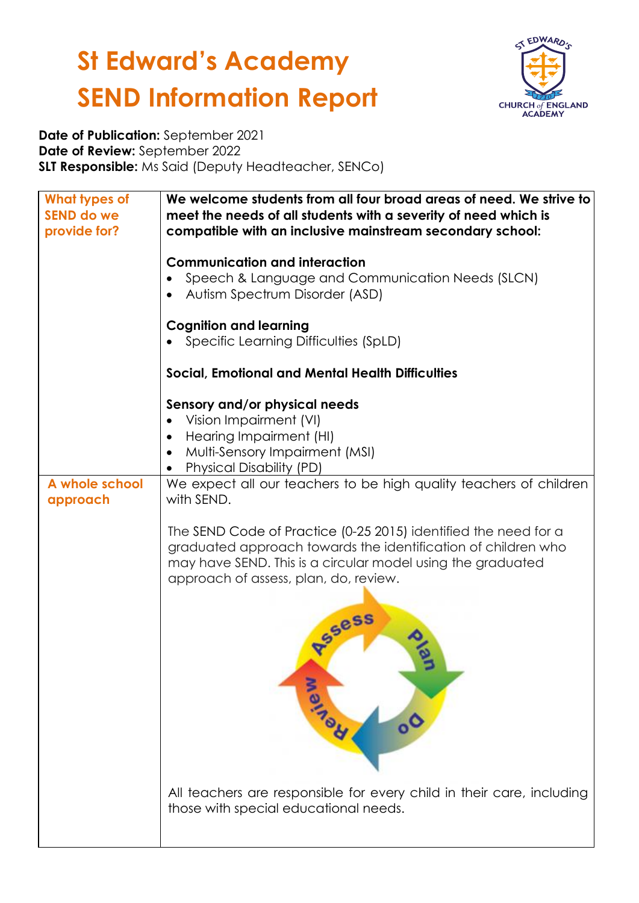

**Date of Publication:** September 2021 **Date of Review:** September 2022 **SLT Responsible:** Ms Said (Deputy Headteacher, SENCo)

| What types of<br><b>SEND do we</b><br>provide for? | We welcome students from all four broad areas of need. We strive to<br>meet the needs of all students with a severity of need which is<br>compatible with an inclusive mainstream secondary school:                                                                 |
|----------------------------------------------------|---------------------------------------------------------------------------------------------------------------------------------------------------------------------------------------------------------------------------------------------------------------------|
|                                                    | <b>Communication and interaction</b><br>Speech & Language and Communication Needs (SLCN)<br>Autism Spectrum Disorder (ASD)                                                                                                                                          |
|                                                    | <b>Cognition and learning</b><br>Specific Learning Difficulties (SpLD)                                                                                                                                                                                              |
|                                                    | <b>Social, Emotional and Mental Health Difficulties</b>                                                                                                                                                                                                             |
|                                                    | Sensory and/or physical needs<br>Vision Impairment (VI)<br>Hearing Impairment (HI)<br>$\bullet$<br>Multi-Sensory Impairment (MSI)<br><b>Physical Disability (PD)</b>                                                                                                |
| A whole school<br>approach                         | We expect all our teachers to be high quality teachers of children<br>with SEND.                                                                                                                                                                                    |
|                                                    | The SEND Code of Practice (0-25 2015) identified the need for a<br>graduated approach towards the identification of children who<br>may have SEND. This is a circular model using the graduated<br>approach of assess, plan, do, review.<br><b>RSSess</b><br>Martia |
|                                                    | All teachers are responsible for every child in their care, including<br>those with special educational needs.                                                                                                                                                      |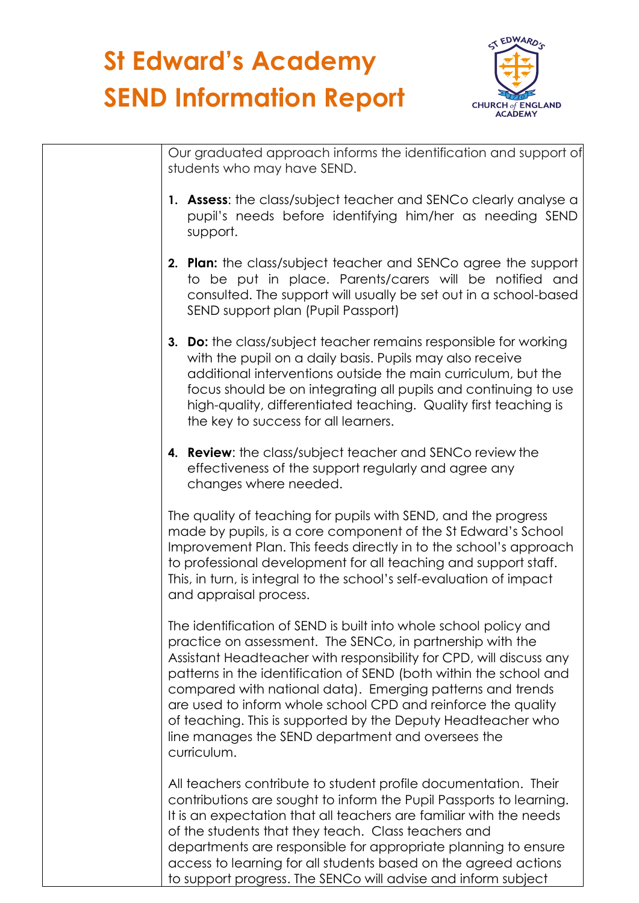

Our graduated approach informs the identification and support of students who may have SEND. **1. Assess**: the class/subject teacher and SENCo clearly analyse a pupil's needs before identifying him/her as needing SEND support. **2. Plan:** the class/subject teacher and SENCo agree the support to be put in place. Parents/carers will be notified and consulted. The support will usually be set out in a school-based SEND support plan (Pupil Passport) **3. Do:** the class/subject teacher remains responsible for working with the pupil on a daily basis. Pupils may also receive additional interventions outside the main curriculum, but the focus should be on integrating all pupils and continuing to use high-quality, differentiated teaching. Quality first teaching is the key to success for all learners. **4. Review**: the class/subject teacher and SENCo review the effectiveness of the support regularly and agree any changes where needed. The quality of teaching for pupils with SEND, and the progress made by pupils, is a core component of the St Edward's School Improvement Plan. This feeds directly in to the school's approach to professional development for all teaching and support staff. This, in turn, is integral to the school's self-evaluation of impact and appraisal process. The identification of SEND is built into whole school policy and practice on assessment. The SENCo, in partnership with the Assistant Headteacher with responsibility for CPD, will discuss any patterns in the identification of SEND (both within the school and compared with national data). Emerging patterns and trends are used to inform whole school CPD and reinforce the quality of teaching. This is supported by the Deputy Headteacher who line manages the SEND department and oversees the curriculum. All teachers contribute to student profile documentation. Their contributions are sought to inform the Pupil Passports to learning. It is an expectation that all teachers are familiar with the needs of the students that they teach. Class teachers and departments are responsible for appropriate planning to ensure access to learning for all students based on the agreed actions

to support progress. The SENCo will advise and inform subject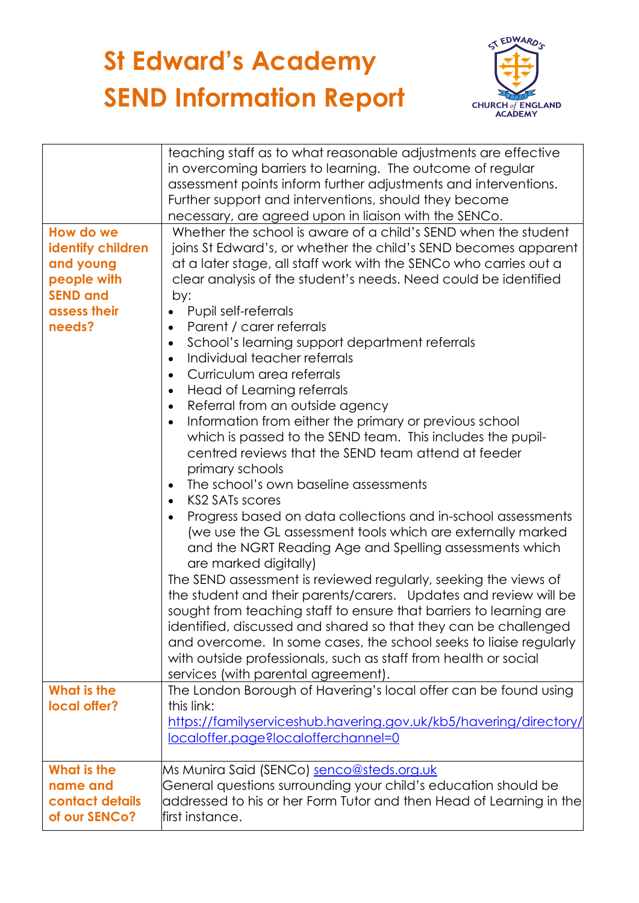

| How do we<br>identify children<br>and young<br>people with  | teaching staff as to what reasonable adjustments are effective<br>in overcoming barriers to learning. The outcome of regular<br>assessment points inform further adjustments and interventions.<br>Further support and interventions, should they become<br>necessary, are agreed upon in liaison with the SENCo.<br>Whether the school is aware of a child's SEND when the student<br>joins St Edward's, or whether the child's SEND becomes apparent<br>at a later stage, all staff work with the SENCo who carries out a<br>clear analysis of the student's needs. Need could be identified                                                                                                                                                                                                                                                                                                                                                                                                                                                                                                                                                                                                                                                                                                                                   |
|-------------------------------------------------------------|----------------------------------------------------------------------------------------------------------------------------------------------------------------------------------------------------------------------------------------------------------------------------------------------------------------------------------------------------------------------------------------------------------------------------------------------------------------------------------------------------------------------------------------------------------------------------------------------------------------------------------------------------------------------------------------------------------------------------------------------------------------------------------------------------------------------------------------------------------------------------------------------------------------------------------------------------------------------------------------------------------------------------------------------------------------------------------------------------------------------------------------------------------------------------------------------------------------------------------------------------------------------------------------------------------------------------------|
| <b>SEND and</b><br>assess their<br>needs?                   | by:<br>Pupil self-referrals<br>Parent / carer referrals<br>$\bullet$<br>School's learning support department referrals<br>$\bullet$<br>Individual teacher referrals<br>$\bullet$<br>Curriculum area referrals<br>$\bullet$<br>Head of Learning referrals<br>$\bullet$<br>Referral from an outside agency<br>$\bullet$<br>Information from either the primary or previous school<br>$\bullet$<br>which is passed to the SEND team. This includes the pupil-<br>centred reviews that the SEND team attend at feeder<br>primary schools<br>The school's own baseline assessments<br>$\bullet$<br><b>KS2 SATs scores</b><br>$\bullet$<br>Progress based on data collections and in-school assessments<br>$\bullet$<br>(we use the GL assessment tools which are externally marked<br>and the NGRT Reading Age and Spelling assessments which<br>are marked digitally)<br>The SEND assessment is reviewed regularly, seeking the views of<br>the student and their parents/carers. Updates and review will be<br>sought from teaching staff to ensure that barriers to learning are<br>identified, discussed and shared so that they can be challenged<br>and overcome. In some cases, the school seeks to liaise regularly<br>with outside professionals, such as staff from health or social<br>services (with parental agreement). |
| What is the<br>local offer?                                 | The London Borough of Havering's local offer can be found using<br>this link:<br>https://familyserviceshub.havering.gov.uk/kb5/havering/directory/<br>localoffer.page?localofferchannel=0                                                                                                                                                                                                                                                                                                                                                                                                                                                                                                                                                                                                                                                                                                                                                                                                                                                                                                                                                                                                                                                                                                                                        |
| What is the<br>name and<br>contact details<br>of our SENCo? | Ms Munira Said (SENCo) senco@steds.org.uk<br>General questions surrounding your child's education should be<br>$\,$ addressed to his or her Form Tutor and then Head of Learning in the $\,$<br>first instance.                                                                                                                                                                                                                                                                                                                                                                                                                                                                                                                                                                                                                                                                                                                                                                                                                                                                                                                                                                                                                                                                                                                  |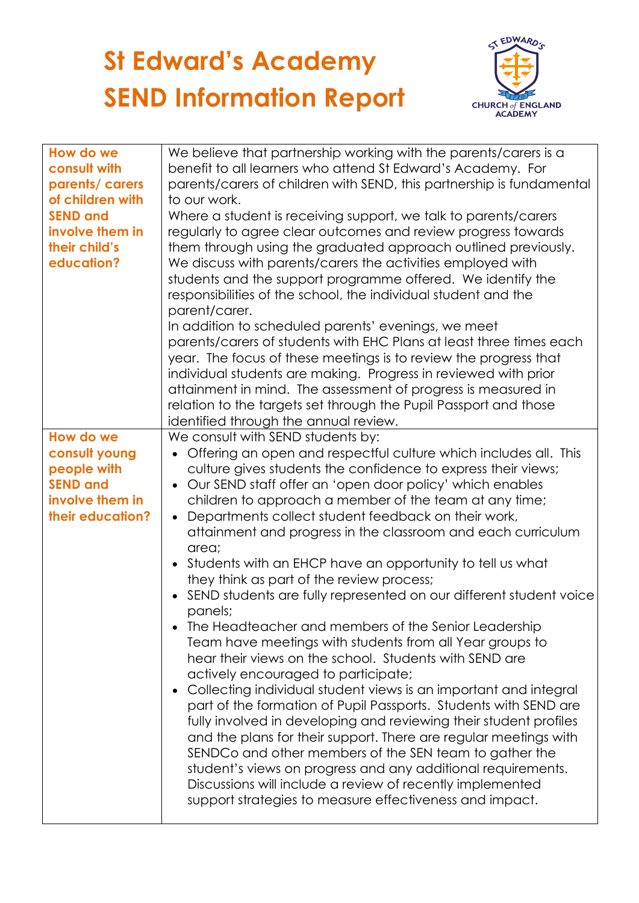

| How do we<br>consult with<br>parents/ carers<br>of children with<br><b>SEND and</b><br>involve them in<br>their child's<br>education? | We believe that partnership working with the parents/carers is a<br>benefit to all learners who attend St Edward's Academy. For<br>parents/carers of children with SEND, this partnership is fundamental<br>to our work.<br>Where a student is receiving support, we talk to parents/carers<br>regularly to agree clear outcomes and review progress towards<br>them through using the graduated approach outlined previously.<br>We discuss with parents/carers the activities employed with<br>students and the support programme offered. We identify the<br>responsibilities of the school, the individual student and the<br>parent/carer.<br>In addition to scheduled parents' evenings, we meet<br>parents/carers of students with EHC Plans at least three times each<br>year. The focus of these meetings is to review the progress that<br>individual students are making. Progress in reviewed with prior<br>attainment in mind. The assessment of progress is measured in<br>relation to the targets set through the Pupil Passport and those<br>identified through the annual review.                                                                                                                                                                                                                                                                                                                     |
|---------------------------------------------------------------------------------------------------------------------------------------|------------------------------------------------------------------------------------------------------------------------------------------------------------------------------------------------------------------------------------------------------------------------------------------------------------------------------------------------------------------------------------------------------------------------------------------------------------------------------------------------------------------------------------------------------------------------------------------------------------------------------------------------------------------------------------------------------------------------------------------------------------------------------------------------------------------------------------------------------------------------------------------------------------------------------------------------------------------------------------------------------------------------------------------------------------------------------------------------------------------------------------------------------------------------------------------------------------------------------------------------------------------------------------------------------------------------------------------------------------------------------------------------------------------------|
| How do we<br>consult young<br>people with<br><b>SEND and</b><br>involve them in<br>their education?                                   | We consult with SEND students by:<br>Offering an open and respectful culture which includes all. This<br>culture gives students the confidence to express their views;<br>Our SEND staff offer an 'open door policy' which enables<br>$\bullet$<br>children to approach a member of the team at any time;<br>Departments collect student feedback on their work,<br>attainment and progress in the classroom and each curriculum<br>area;<br>Students with an EHCP have an opportunity to tell us what<br>$\bullet$<br>they think as part of the review process;<br>SEND students are fully represented on our different student voice<br>panels;<br>The Headteacher and members of the Senior Leadership<br>Team have meetings with students from all Year groups to<br>hear their views on the school. Students with SEND are<br>actively encouraged to participate;<br>Collecting individual student views is an important and integral<br>$\bullet$<br>part of the formation of Pupil Passports. Students with SEND are<br>fully involved in developing and reviewing their student profiles<br>and the plans for their support. There are regular meetings with<br>SENDCo and other members of the SEN team to gather the<br>student's views on progress and any additional requirements.<br>Discussions will include a review of recently implemented<br>support strategies to measure effectiveness and impact. |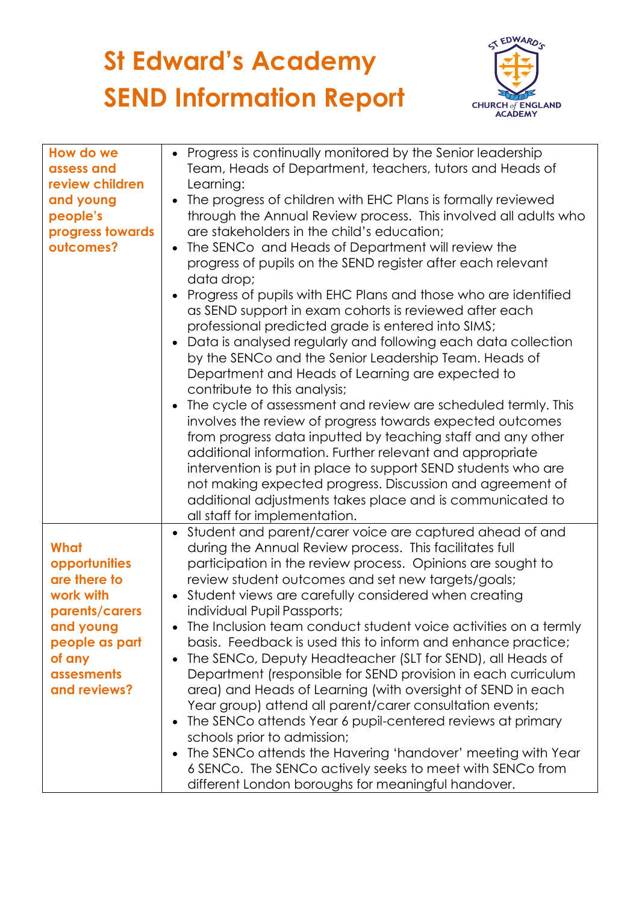

| How do we        | • Progress is continually monitored by the Senior leadership          |
|------------------|-----------------------------------------------------------------------|
| assess and       | Team, Heads of Department, teachers, tutors and Heads of              |
| review children  | Learning:                                                             |
| and young        | The progress of children with EHC Plans is formally reviewed          |
| people's         | through the Annual Review process. This involved all adults who       |
| progress towards | are stakeholders in the child's education;                            |
| outcomes?        | The SENCo and Heads of Department will review the<br>$\bullet$        |
|                  | progress of pupils on the SEND register after each relevant           |
|                  | data drop;                                                            |
|                  | Progress of pupils with EHC Plans and those who are identified        |
|                  | as SEND support in exam cohorts is reviewed after each                |
|                  | professional predicted grade is entered into SIMS;                    |
|                  | Data is analysed regularly and following each data collection         |
|                  | by the SENCo and the Senior Leadership Team. Heads of                 |
|                  | Department and Heads of Learning are expected to                      |
|                  | contribute to this analysis;                                          |
|                  | The cycle of assessment and review are scheduled termly. This         |
|                  | involves the review of progress towards expected outcomes             |
|                  | from progress data inputted by teaching staff and any other           |
|                  | additional information. Further relevant and appropriate              |
|                  | intervention is put in place to support SEND students who are         |
|                  | not making expected progress. Discussion and agreement of             |
|                  | additional adjustments takes place and is communicated to             |
|                  | all staff for implementation.                                         |
|                  | Student and parent/carer voice are captured ahead of and<br>$\bullet$ |
| What             | during the Annual Review process. This facilitates full               |
| opportunities    | participation in the review process. Opinions are sought to           |
| are there to     | review student outcomes and set new targets/goals;                    |
| work with        | Student views are carefully considered when creating                  |
| parents/carers   | individual Pupil Passports;                                           |
| and young        | The Inclusion team conduct student voice activities on a termly       |
| people as part   | basis. Feedback is used this to inform and enhance practice;          |
| of any           | The SENCo, Deputy Headteacher (SLT for SEND), all Heads of            |
| assesments       | Department (responsible for SEND provision in each curriculum         |
| and reviews?     | area) and Heads of Learning (with oversight of SEND in each           |
|                  | Year group) attend all parent/carer consultation events;              |
|                  | The SENCo attends Year 6 pupil-centered reviews at primary            |
|                  | schools prior to admission;                                           |
|                  | The SENCo attends the Havering 'handover' meeting with Year           |
|                  | 6 SENCo. The SENCo actively seeks to meet with SENCo from             |
|                  | different London boroughs for meaningful handover.                    |
|                  |                                                                       |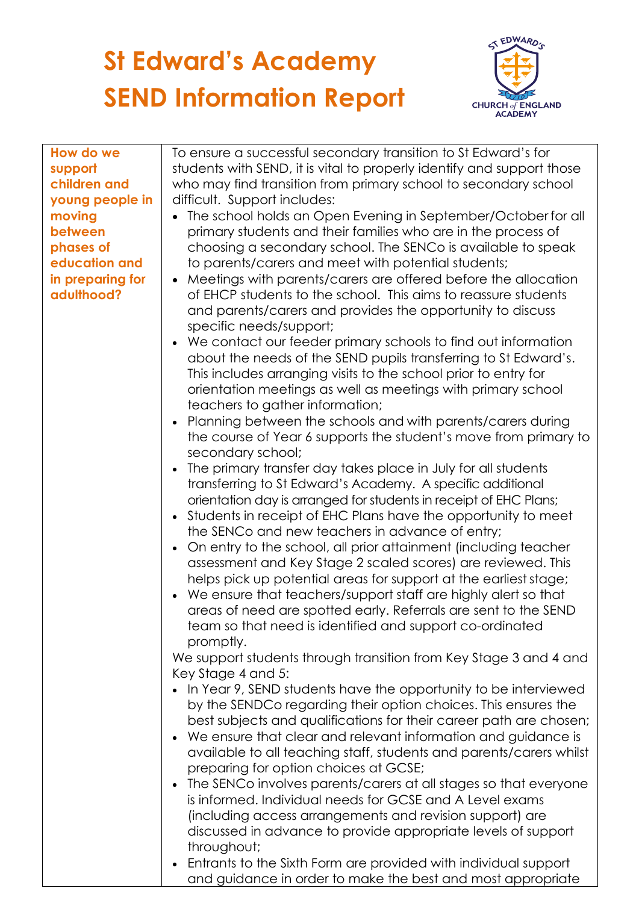

| How do we        | To ensure a successful secondary transition to St Edward's for                                                               |
|------------------|------------------------------------------------------------------------------------------------------------------------------|
| support          | students with SEND, it is vital to properly identify and support those                                                       |
| children and     | who may find transition from primary school to secondary school                                                              |
| young people in  | difficult. Support includes:                                                                                                 |
| moving           | The school holds an Open Evening in September/October for all                                                                |
| between          | primary students and their families who are in the process of                                                                |
| phases of        | choosing a secondary school. The SENCo is available to speak                                                                 |
| education and    | to parents/carers and meet with potential students;                                                                          |
| in preparing for | Meetings with parents/carers are offered before the allocation                                                               |
| adulthood?       | of EHCP students to the school. This aims to reassure students                                                               |
|                  | and parents/carers and provides the opportunity to discuss                                                                   |
|                  | specific needs/support;                                                                                                      |
|                  | We contact our feeder primary schools to find out information                                                                |
|                  | about the needs of the SEND pupils transferring to St Edward's.                                                              |
|                  | This includes arranging visits to the school prior to entry for                                                              |
|                  | orientation meetings as well as meetings with primary school                                                                 |
|                  | teachers to gather information;                                                                                              |
|                  | Planning between the schools and with parents/carers during                                                                  |
|                  | the course of Year 6 supports the student's move from primary to                                                             |
|                  | secondary school;                                                                                                            |
|                  | The primary transfer day takes place in July for all students                                                                |
|                  | transferring to St Edward's Academy. A specific additional                                                                   |
|                  | orientation day is arranged for students in receipt of EHC Plans;                                                            |
|                  | Students in receipt of EHC Plans have the opportunity to meet                                                                |
|                  | the SENCo and new teachers in advance of entry;                                                                              |
|                  | On entry to the school, all prior attainment (including teacher                                                              |
|                  | assessment and Key Stage 2 scaled scores) are reviewed. This                                                                 |
|                  | helps pick up potential areas for support at the earliest stage;                                                             |
|                  | We ensure that teachers/support staff are highly alert so that                                                               |
|                  | areas of need are spotted early. Referrals are sent to the SEND                                                              |
|                  | team so that need is identified and support co-ordinated                                                                     |
|                  | promptly.                                                                                                                    |
|                  | We support students through transition from Key Stage 3 and 4 and                                                            |
|                  | Key Stage 4 and 5:                                                                                                           |
|                  | In Year 9, SEND students have the opportunity to be interviewed                                                              |
|                  | by the SENDCo regarding their option choices. This ensures the                                                               |
|                  | best subjects and qualifications for their career path are chosen;                                                           |
|                  | We ensure that clear and relevant information and guidance is                                                                |
|                  | available to all teaching staff, students and parents/carers whilst                                                          |
|                  | preparing for option choices at GCSE;                                                                                        |
|                  | The SENCo involves parents/carers at all stages so that everyone<br>is informed. Individual needs for GCSE and A Level exams |
|                  |                                                                                                                              |
|                  | (including access arrangements and revision support) are                                                                     |
|                  | discussed in advance to provide appropriate levels of support                                                                |
|                  | throughout;<br>Entrants to the Sixth Form are provided with individual support                                               |
|                  | and guidance in order to make the best and most appropriate                                                                  |
|                  |                                                                                                                              |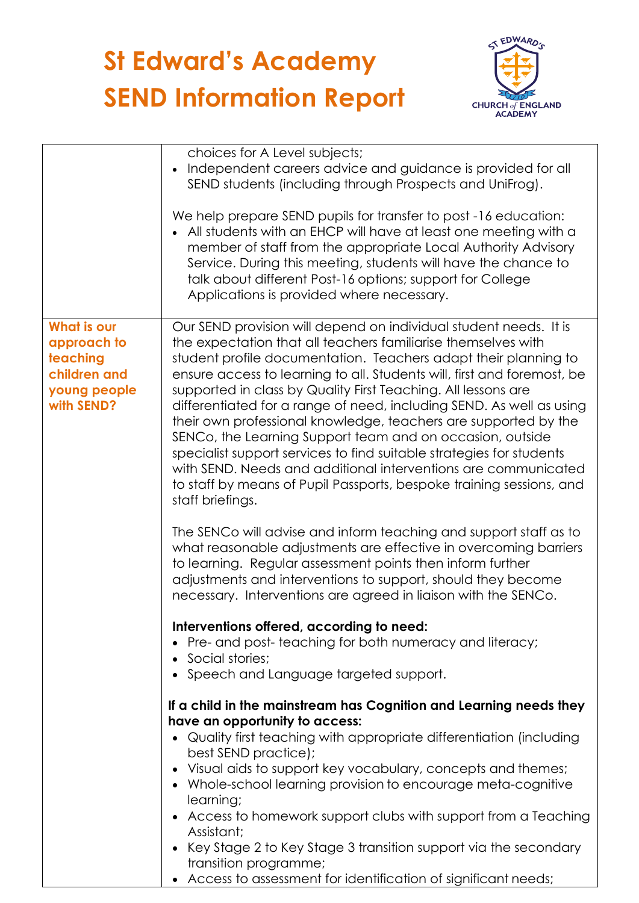

|                                                                                             | choices for A Level subjects;<br>Independent careers advice and guidance is provided for all<br>SEND students (including through Prospects and UniFrog).<br>We help prepare SEND pupils for transfer to post -16 education:<br>All students with an EHCP will have at least one meeting with a<br>member of staff from the appropriate Local Authority Advisory<br>Service. During this meeting, students will have the chance to<br>talk about different Post-16 options; support for College<br>Applications is provided where necessary.                                                                                                                                                                                                                                                     |
|---------------------------------------------------------------------------------------------|-------------------------------------------------------------------------------------------------------------------------------------------------------------------------------------------------------------------------------------------------------------------------------------------------------------------------------------------------------------------------------------------------------------------------------------------------------------------------------------------------------------------------------------------------------------------------------------------------------------------------------------------------------------------------------------------------------------------------------------------------------------------------------------------------|
| <b>What is our</b><br>approach to<br>teaching<br>children and<br>young people<br>with SEND? | Our SEND provision will depend on individual student needs. It is<br>the expectation that all teachers familiarise themselves with<br>student profile documentation. Teachers adapt their planning to<br>ensure access to learning to all. Students will, first and foremost, be<br>supported in class by Quality First Teaching. All lessons are<br>differentiated for a range of need, including SEND. As well as using<br>their own professional knowledge, teachers are supported by the<br>SENCo, the Learning Support team and on occasion, outside<br>specialist support services to find suitable strategies for students<br>with SEND. Needs and additional interventions are communicated<br>to staff by means of Pupil Passports, bespoke training sessions, and<br>staff briefings. |
|                                                                                             | The SENCo will advise and inform teaching and support staff as to<br>what reasonable adjustments are effective in overcoming barriers<br>to learning. Regular assessment points then inform further<br>adjustments and interventions to support, should they become<br>necessary. Interventions are agreed in liaison with the SENCo.                                                                                                                                                                                                                                                                                                                                                                                                                                                           |
|                                                                                             | Interventions offered, according to need:<br>• Pre- and post-teaching for both numeracy and literacy;<br>• Social stories;<br>Speech and Language targeted support.                                                                                                                                                                                                                                                                                                                                                                                                                                                                                                                                                                                                                             |
|                                                                                             | If a child in the mainstream has Cognition and Learning needs they<br>have an opportunity to access:<br>Quality first teaching with appropriate differentiation (including<br>best SEND practice);<br>Visual aids to support key vocabulary, concepts and themes;<br>• Whole-school learning provision to encourage meta-cognitive<br>learning;<br>Access to homework support clubs with support from a Teaching<br>Assistant;<br>Key Stage 2 to Key Stage 3 transition support via the secondary<br>transition programme;<br>• Access to assessment for identification of significant needs;                                                                                                                                                                                                   |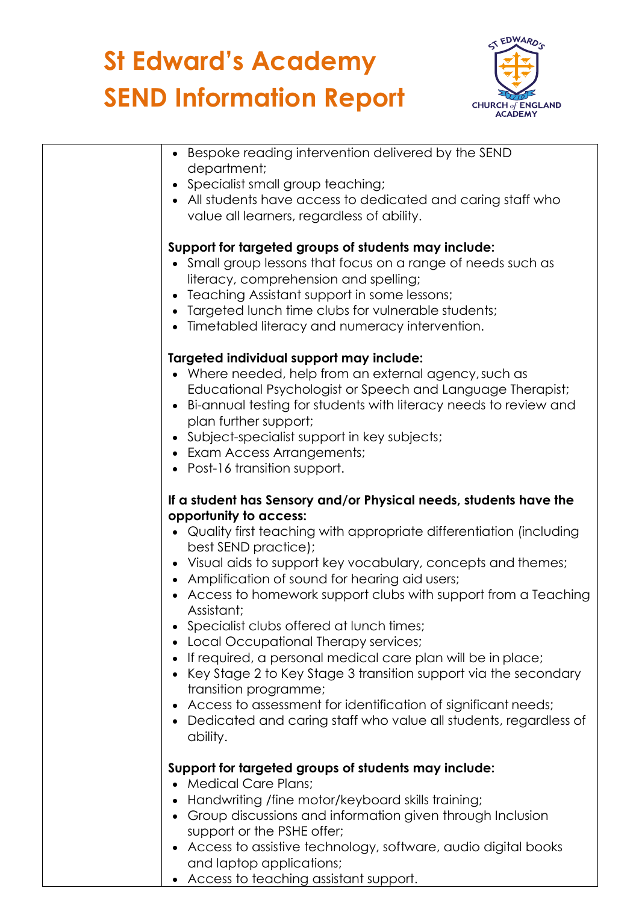

| Bespoke reading intervention delivered by the SEND<br>department;<br>• Specialist small group teaching;                                                                                                                                                                                                                                                                                                                                                                                                                                                                                                                                                                                                                                                                                                |
|--------------------------------------------------------------------------------------------------------------------------------------------------------------------------------------------------------------------------------------------------------------------------------------------------------------------------------------------------------------------------------------------------------------------------------------------------------------------------------------------------------------------------------------------------------------------------------------------------------------------------------------------------------------------------------------------------------------------------------------------------------------------------------------------------------|
| • All students have access to dedicated and caring staff who<br>value all learners, regardless of ability.                                                                                                                                                                                                                                                                                                                                                                                                                                                                                                                                                                                                                                                                                             |
| Support for targeted groups of students may include:<br>• Small group lessons that focus on a range of needs such as<br>literacy, comprehension and spelling;<br>• Teaching Assistant support in some lessons;<br>• Targeted lunch time clubs for vulnerable students;<br>• Timetabled literacy and numeracy intervention.                                                                                                                                                                                                                                                                                                                                                                                                                                                                             |
| Targeted individual support may include:<br>• Where needed, help from an external agency, such as<br>Educational Psychologist or Speech and Language Therapist;<br>• Bi-annual testing for students with literacy needs to review and<br>plan further support;<br>• Subject-specialist support in key subjects;<br>• Exam Access Arrangements;<br>• Post-16 transition support.                                                                                                                                                                                                                                                                                                                                                                                                                        |
| If a student has Sensory and/or Physical needs, students have the<br>opportunity to access:<br>• Quality first teaching with appropriate differentiation (including<br>best SEND practice);<br>• Visual aids to support key vocabulary, concepts and themes;<br>• Amplification of sound for hearing aid users;<br>• Access to homework support clubs with support from a Teaching<br>Assistant;<br>Specialist clubs offered at lunch times;<br>• Local Occupational Therapy services;<br>If required, a personal medical care plan will be in place;<br>Key Stage 2 to Key Stage 3 transition support via the secondary<br>transition programme;<br>• Access to assessment for identification of significant needs;<br>• Dedicated and caring staff who value all students, regardless of<br>ability. |
| Support for targeted groups of students may include:<br><b>Medical Care Plans;</b><br>Handwriting /fine motor/keyboard skills training;<br>Group discussions and information given through Inclusion<br>support or the PSHE offer;<br>• Access to assistive technology, software, audio digital books<br>and laptop applications;                                                                                                                                                                                                                                                                                                                                                                                                                                                                      |

• Access to teaching assistant support.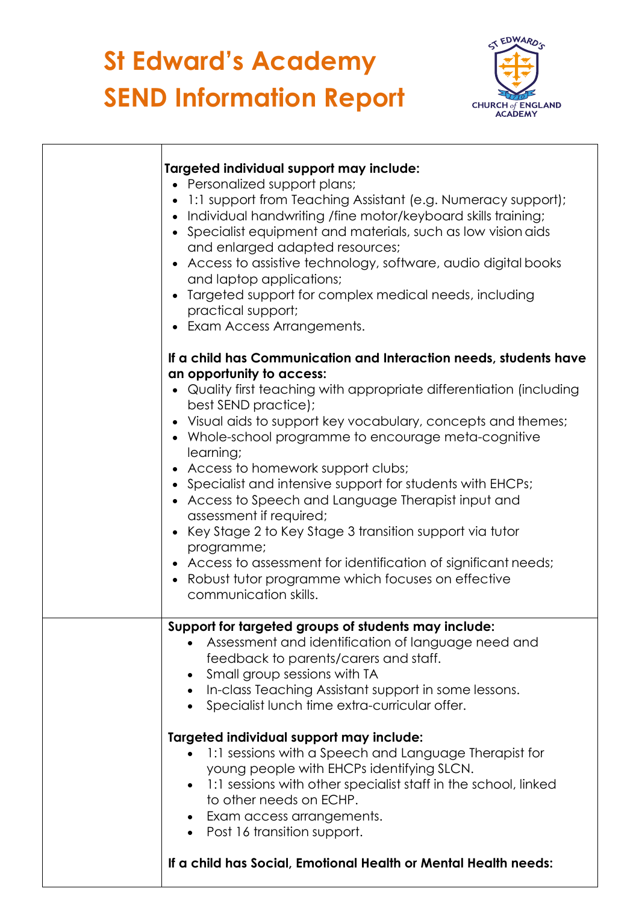

| Targeted individual support may include:<br>• Personalized support plans;<br>1:1 support from Teaching Assistant (e.g. Numeracy support);<br>$\bullet$<br>• Individual handwriting /fine motor/keyboard skills training;<br>• Specialist equipment and materials, such as low vision aids<br>and enlarged adapted resources;<br>• Access to assistive technology, software, audio digital books<br>and laptop applications;<br>Targeted support for complex medical needs, including<br>practical support;<br>• Exam Access Arrangements.                                                                                                                                                                                                                             |
|-----------------------------------------------------------------------------------------------------------------------------------------------------------------------------------------------------------------------------------------------------------------------------------------------------------------------------------------------------------------------------------------------------------------------------------------------------------------------------------------------------------------------------------------------------------------------------------------------------------------------------------------------------------------------------------------------------------------------------------------------------------------------|
| If a child has Communication and Interaction needs, students have<br>an opportunity to access:<br>• Quality first teaching with appropriate differentiation (including<br>best SEND practice);<br>• Visual aids to support key vocabulary, concepts and themes;<br>• Whole-school programme to encourage meta-cognitive<br>learning;<br>• Access to homework support clubs;<br>• Specialist and intensive support for students with EHCPs;<br>• Access to Speech and Language Therapist input and<br>assessment if required;<br>• Key Stage 2 to Key Stage 3 transition support via tutor<br>programme;<br>• Access to assessment for identification of significant needs;<br>Robust tutor programme which focuses on effective<br>$\bullet$<br>communication skills. |
| Support for targeted groups of students may include:<br>• Assessment and identification of language need and<br>feedback to parents/carers and staff.<br>Small group sessions with TA<br>In-class Teaching Assistant support in some lessons.<br>$\bullet$<br>Specialist lunch time extra-curricular offer.<br>Targeted individual support may include:<br>1:1 sessions with a Speech and Language Therapist for<br>young people with EHCPs identifying SLCN.<br>1:1 sessions with other specialist staff in the school, linked<br>to other needs on ECHP.<br>• Exam access arrangements.<br>• Post 16 transition support.<br>If a child has Social, Emotional Health or Mental Health needs:                                                                         |
|                                                                                                                                                                                                                                                                                                                                                                                                                                                                                                                                                                                                                                                                                                                                                                       |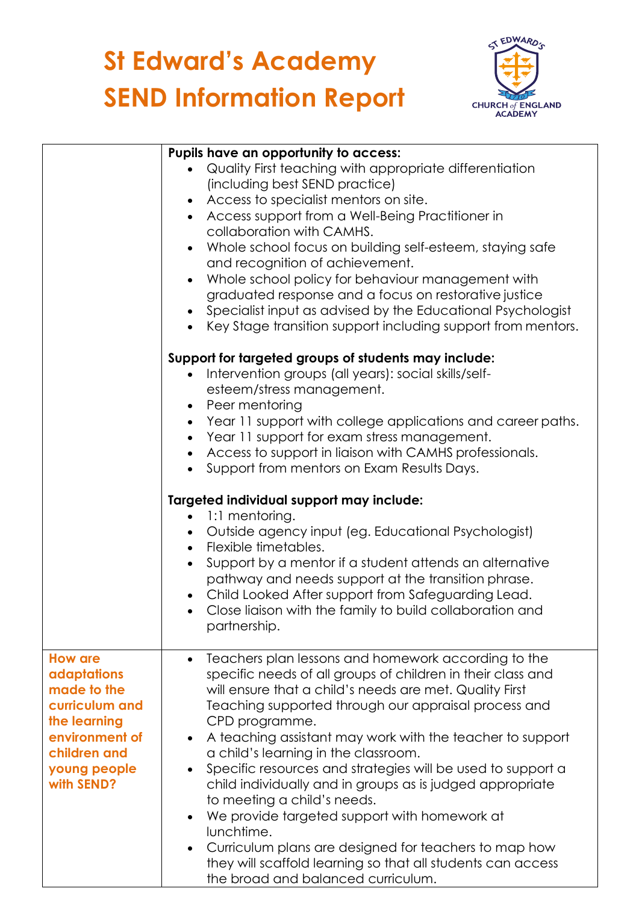

|                            | Pupils have an opportunity to access:                                                                                       |
|----------------------------|-----------------------------------------------------------------------------------------------------------------------------|
|                            | Quality First teaching with appropriate differentiation                                                                     |
|                            | (including best SEND practice)                                                                                              |
|                            | Access to specialist mentors on site.                                                                                       |
|                            | Access support from a Well-Being Practitioner in<br>$\bullet$                                                               |
|                            | collaboration with CAMHS.                                                                                                   |
|                            | Whole school focus on building self-esteem, staying safe                                                                    |
|                            | and recognition of achievement.                                                                                             |
|                            | Whole school policy for behaviour management with<br>$\bullet$                                                              |
|                            | graduated response and a focus on restorative justice                                                                       |
|                            | Specialist input as advised by the Educational Psychologist                                                                 |
|                            | Key Stage transition support including support from mentors.<br>$\bullet$                                                   |
|                            | Support for targeted groups of students may include:                                                                        |
|                            | Intervention groups (all years): social skills/self-                                                                        |
|                            | esteem/stress management.                                                                                                   |
|                            | Peer mentoring<br>$\bullet$                                                                                                 |
|                            | Year 11 support with college applications and career paths.<br>$\bullet$                                                    |
|                            | Year 11 support for exam stress management.<br>$\bullet$                                                                    |
|                            | Access to support in liaison with CAMHS professionals.<br>$\bullet$                                                         |
|                            | Support from mentors on Exam Results Days.<br>$\bullet$                                                                     |
|                            | Targeted individual support may include:                                                                                    |
|                            | 1:1 mentoring.<br>$\bullet$                                                                                                 |
|                            | Outside agency input (eg. Educational Psychologist)<br>$\bullet$                                                            |
|                            | Flexible timetables.                                                                                                        |
|                            | Support by a mentor if a student attends an alternative                                                                     |
|                            | pathway and needs support at the transition phrase.                                                                         |
|                            | Child Looked After support from Safeguarding Lead.<br>$\bullet$<br>Close liaison with the family to build collaboration and |
|                            | $\bullet$<br>partnership.                                                                                                   |
|                            |                                                                                                                             |
| <b>How are</b>             | Teachers plan lessons and homework according to the                                                                         |
| adaptations                | specific needs of all groups of children in their class and                                                                 |
| made to the                | will ensure that a child's needs are met. Quality First                                                                     |
| curriculum and             | Teaching supported through our appraisal process and                                                                        |
| the learning               | CPD programme.                                                                                                              |
| environment of             | A teaching assistant may work with the teacher to support                                                                   |
| children and               | a child's learning in the classroom.                                                                                        |
| young people<br>with SEND? | Specific resources and strategies will be used to support a<br>child individually and in groups as is judged appropriate    |
|                            | to meeting a child's needs.                                                                                                 |
|                            | We provide targeted support with homework at<br>$\bullet$                                                                   |
|                            | lunchtime.                                                                                                                  |
|                            | Curriculum plans are designed for teachers to map how                                                                       |
|                            | they will scaffold learning so that all students can access                                                                 |
|                            | the broad and balanced curriculum.                                                                                          |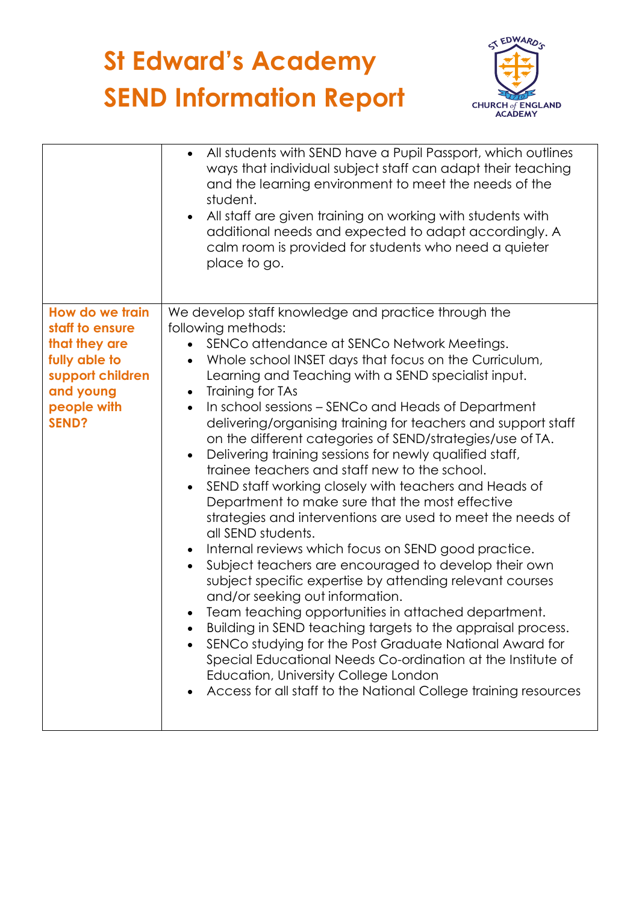

|                                  | All students with SEND have a Pupil Passport, which outlines<br>$\bullet$<br>ways that individual subject staff can adapt their teaching<br>and the learning environment to meet the needs of the<br>student.<br>All staff are given training on working with students with<br>$\bullet$<br>additional needs and expected to adapt accordingly. A<br>calm room is provided for students who need a quieter<br>place to go. |
|----------------------------------|----------------------------------------------------------------------------------------------------------------------------------------------------------------------------------------------------------------------------------------------------------------------------------------------------------------------------------------------------------------------------------------------------------------------------|
| How do we train                  | We develop staff knowledge and practice through the                                                                                                                                                                                                                                                                                                                                                                        |
| staff to ensure<br>that they are | following methods:<br>SENCo attendance at SENCo Network Meetings.                                                                                                                                                                                                                                                                                                                                                          |
| fully able to                    | Whole school INSET days that focus on the Curriculum,                                                                                                                                                                                                                                                                                                                                                                      |
| support children                 | Learning and Teaching with a SEND specialist input.                                                                                                                                                                                                                                                                                                                                                                        |
| and young                        | Training for TAs                                                                                                                                                                                                                                                                                                                                                                                                           |
| people with<br><b>SEND?</b>      | In school sessions – SENCo and Heads of Department<br>delivering/organising training for teachers and support staff                                                                                                                                                                                                                                                                                                        |
|                                  | on the different categories of SEND/strategies/use of TA.                                                                                                                                                                                                                                                                                                                                                                  |
|                                  | Delivering training sessions for newly qualified staff,<br>$\bullet$                                                                                                                                                                                                                                                                                                                                                       |
|                                  | trainee teachers and staff new to the school.                                                                                                                                                                                                                                                                                                                                                                              |
|                                  | SEND staff working closely with teachers and Heads of<br>$\bullet$<br>Department to make sure that the most effective                                                                                                                                                                                                                                                                                                      |
|                                  | strategies and interventions are used to meet the needs of<br>all SEND students.                                                                                                                                                                                                                                                                                                                                           |
|                                  | Internal reviews which focus on SEND good practice.                                                                                                                                                                                                                                                                                                                                                                        |
|                                  | Subject teachers are encouraged to develop their own<br>$\bullet$<br>subject specific expertise by attending relevant courses<br>and/or seeking out information.                                                                                                                                                                                                                                                           |
|                                  | Team teaching opportunities in attached department.                                                                                                                                                                                                                                                                                                                                                                        |
|                                  | Building in SEND teaching targets to the appraisal process.                                                                                                                                                                                                                                                                                                                                                                |
|                                  | SENCo studying for the Post Graduate National Award for                                                                                                                                                                                                                                                                                                                                                                    |
|                                  | Special Educational Needs Co-ordination at the Institute of<br>Education, University College London                                                                                                                                                                                                                                                                                                                        |
|                                  | Access for all staff to the National College training resources                                                                                                                                                                                                                                                                                                                                                            |
|                                  |                                                                                                                                                                                                                                                                                                                                                                                                                            |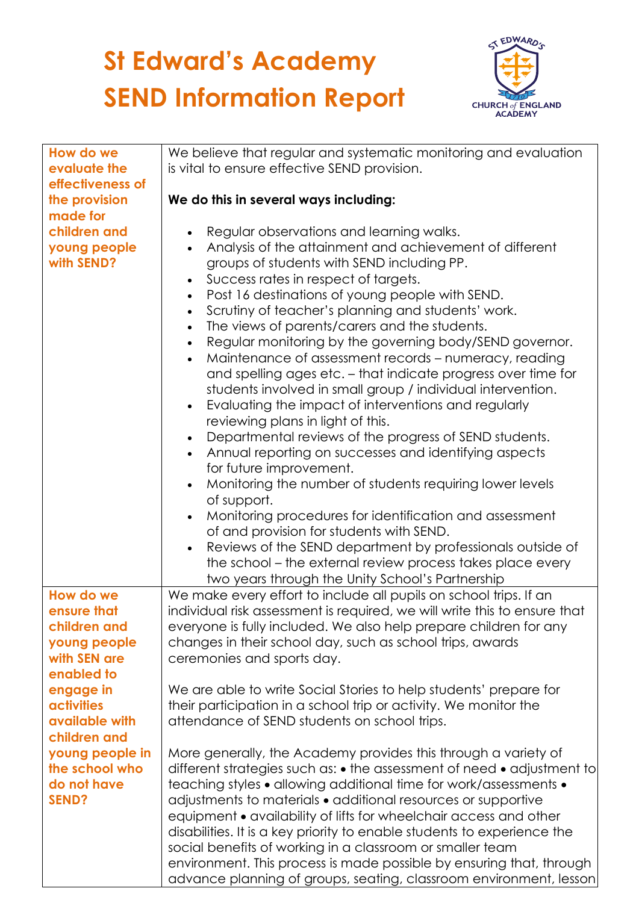

| How do we         | We believe that regular and systematic monitoring and evaluation          |
|-------------------|---------------------------------------------------------------------------|
| evaluate the      | is vital to ensure effective SEND provision.                              |
| effectiveness of  |                                                                           |
| the provision     | We do this in several ways including:                                     |
| made for          |                                                                           |
| children and      | Regular observations and learning walks.<br>$\bullet$                     |
| young people      | Analysis of the attainment and achievement of different<br>$\bullet$      |
| with SEND?        | groups of students with SEND including PP.                                |
|                   | Success rates in respect of targets.<br>$\bullet$                         |
|                   | Post 16 destinations of young people with SEND.<br>$\bullet$              |
|                   | Scrutiny of teacher's planning and students' work.<br>$\bullet$           |
|                   | The views of parents/carers and the students.<br>$\bullet$                |
|                   | Regular monitoring by the governing body/SEND governor.<br>$\bullet$      |
|                   | Maintenance of assessment records - numeracy, reading<br>$\bullet$        |
|                   | and spelling ages etc. - that indicate progress over time for             |
|                   | students involved in small group / individual intervention.               |
|                   | Evaluating the impact of interventions and regularly<br>$\bullet$         |
|                   | reviewing plans in light of this.                                         |
|                   | Departmental reviews of the progress of SEND students.<br>$\bullet$       |
|                   | Annual reporting on successes and identifying aspects<br>$\bullet$        |
|                   | for future improvement.                                                   |
|                   | Monitoring the number of students requiring lower levels<br>$\bullet$     |
|                   | of support.                                                               |
|                   | Monitoring procedures for identification and assessment<br>$\bullet$      |
|                   | of and provision for students with SEND.                                  |
|                   | Reviews of the SEND department by professionals outside of<br>$\bullet$   |
|                   | the school – the external review process takes place every                |
|                   | two years through the Unity School's Partnership                          |
| How do we         | We make every effort to include all pupils on school trips. If an         |
| ensure that       | individual risk assessment is required, we will write this to ensure that |
| children and      | everyone is fully included. We also help prepare children for any         |
| young people      | changes in their school day, such as school trips, awards                 |
| with SEN are      | ceremonies and sports day.                                                |
| enabled to        |                                                                           |
| engage in         | We are able to write Social Stories to help students' prepare for         |
| <b>activities</b> | their participation in a school trip or activity. We monitor the          |
| available with    | attendance of SEND students on school trips.                              |
| children and      |                                                                           |
| young people in   | More generally, the Academy provides this through a variety of            |
| the school who    | different strategies such as: • the assessment of need • adjustment to    |
| do not have       | teaching styles • allowing additional time for work/assessments •         |
| <b>SEND?</b>      | adjustments to materials • additional resources or supportive             |
|                   | equipment • availability of lifts for wheelchair access and other         |
|                   | disabilities. It is a key priority to enable students to experience the   |
|                   | social benefits of working in a classroom or smaller team                 |
|                   | environment. This process is made possible by ensuring that, through      |
|                   | advance planning of groups, seating, classroom environment, lesson        |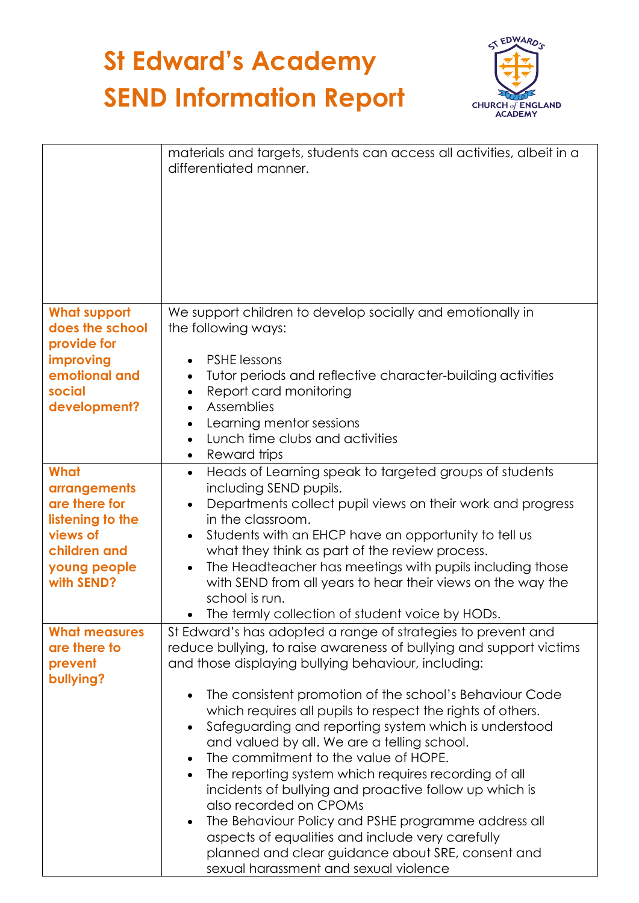

|                                                                                                                            | materials and targets, students can access all activities, albeit in a<br>differentiated manner.                                                                                                                                                                                                                                                                                                                                                                                                                                                                                                                                                                                                                                                                                                                                                                                          |
|----------------------------------------------------------------------------------------------------------------------------|-------------------------------------------------------------------------------------------------------------------------------------------------------------------------------------------------------------------------------------------------------------------------------------------------------------------------------------------------------------------------------------------------------------------------------------------------------------------------------------------------------------------------------------------------------------------------------------------------------------------------------------------------------------------------------------------------------------------------------------------------------------------------------------------------------------------------------------------------------------------------------------------|
| <b>What support</b><br>does the school<br>provide for<br>improving<br>emotional and<br>social<br>development?              | We support children to develop socially and emotionally in<br>the following ways:<br><b>PSHE lessons</b><br>Tutor periods and reflective character-building activities<br>Report card monitoring<br>$\bullet$<br>Assemblies<br>$\bullet$<br>Learning mentor sessions<br>٠<br>Lunch time clubs and activities<br>Reward trips                                                                                                                                                                                                                                                                                                                                                                                                                                                                                                                                                              |
| What<br><b>arrangements</b><br>are there for<br>listening to the<br>views of<br>children and<br>young people<br>with SEND? | Heads of Learning speak to targeted groups of students<br>$\bullet$<br>including SEND pupils.<br>Departments collect pupil views on their work and progress<br>in the classroom.<br>Students with an EHCP have an opportunity to tell us<br>$\bullet$<br>what they think as part of the review process.<br>The Headteacher has meetings with pupils including those<br>$\bullet$<br>with SEND from all years to hear their views on the way the<br>school is run.<br>The termly collection of student voice by HODs.                                                                                                                                                                                                                                                                                                                                                                      |
| <b>What measures</b><br>are there to<br>prevent<br>bullying?                                                               | St Edward's has adopted a range of strategies to prevent and<br>reduce bullying, to raise awareness of bullying and support victims<br>and those displaying bullying behaviour, including:<br>The consistent promotion of the school's Behaviour Code<br>$\bullet$<br>which requires all pupils to respect the rights of others.<br>Safeguarding and reporting system which is understood<br>$\bullet$<br>and valued by all. We are a telling school.<br>The commitment to the value of HOPE.<br>$\bullet$<br>The reporting system which requires recording of all<br>$\bullet$<br>incidents of bullying and proactive follow up which is<br>also recorded on CPOMs<br>The Behaviour Policy and PSHE programme address all<br>$\bullet$<br>aspects of equalities and include very carefully<br>planned and clear guidance about SRE, consent and<br>sexual harassment and sexual violence |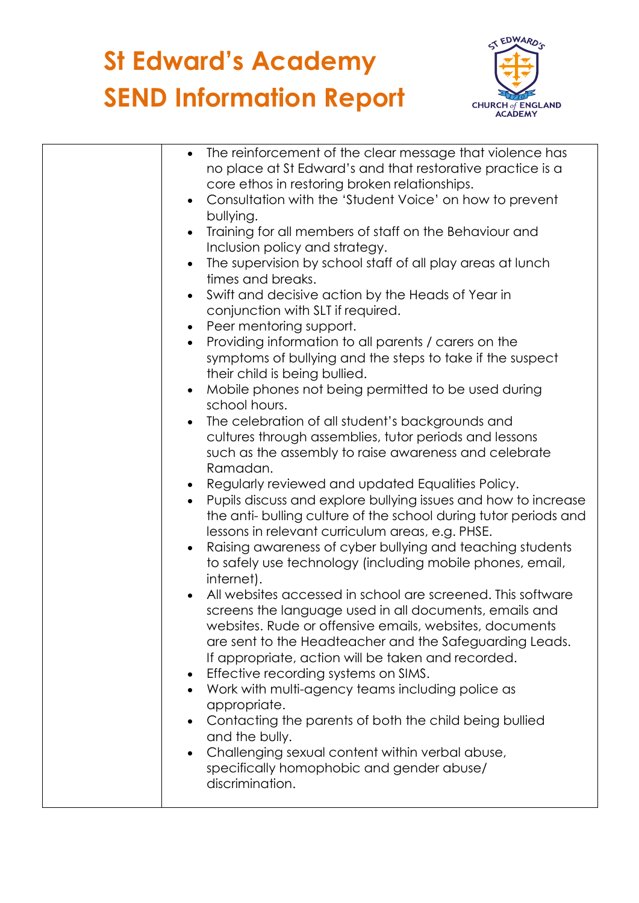

| The reinforcement of the clear message that violence has<br>$\bullet$       |
|-----------------------------------------------------------------------------|
| no place at St Edward's and that restorative practice is a                  |
| core ethos in restoring broken relationships.                               |
| Consultation with the 'Student Voice' on how to prevent                     |
| bullying.                                                                   |
| Training for all members of staff on the Behaviour and                      |
| Inclusion policy and strategy.                                              |
| The supervision by school staff of all play areas at lunch                  |
| times and breaks.                                                           |
| Swift and decisive action by the Heads of Year in                           |
| conjunction with SLT if required.                                           |
| Peer mentoring support.<br>$\bullet$                                        |
| Providing information to all parents / carers on the<br>$\bullet$           |
| symptoms of bullying and the steps to take if the suspect                   |
| their child is being bullied.                                               |
| Mobile phones not being permitted to be used during                         |
| school hours.                                                               |
| The celebration of all student's backgrounds and                            |
| cultures through assemblies, tutor periods and lessons                      |
| such as the assembly to raise awareness and celebrate                       |
| Ramadan.                                                                    |
| Regularly reviewed and updated Equalities Policy.                           |
| Pupils discuss and explore bullying issues and how to increase<br>$\bullet$ |
| the anti-bulling culture of the school during tutor periods and             |
| lessons in relevant curriculum areas, e.g. PHSE.                            |
| Raising awareness of cyber bullying and teaching students                   |
| to safely use technology (including mobile phones, email,                   |
| internet).                                                                  |
| All websites accessed in school are screened. This software                 |
| screens the language used in all documents, emails and                      |
| websites. Rude or offensive emails, websites, documents                     |
| are sent to the Headteacher and the Safeguarding Leads.                     |
| If appropriate, action will be taken and recorded.                          |
| Effective recording systems on SIMS.                                        |
| Work with multi-agency teams including police as                            |
| appropriate.                                                                |
| Contacting the parents of both the child being bullied                      |
| and the bully.                                                              |
| Challenging sexual content within verbal abuse,                             |
| specifically homophobic and gender abuse/                                   |
| discrimination.                                                             |
|                                                                             |
|                                                                             |